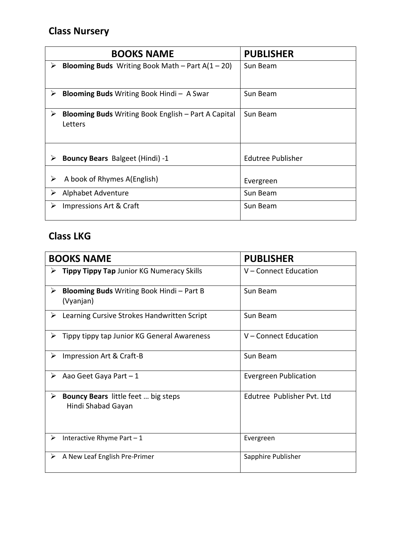# **Class Nursery**

| <b>BOOKS NAME</b>                                                          | <b>PUBLISHER</b>  |
|----------------------------------------------------------------------------|-------------------|
| <b>Blooming Buds</b> Writing Book Math – Part $A(1 – 20)$<br>➤             | Sun Beam          |
| <b>Blooming Buds</b> Writing Book Hindi - A Swar<br>➤                      | Sun Beam          |
| <b>Blooming Buds</b> Writing Book English – Part A Capital<br>⋗<br>Letters | Sun Beam          |
| <b>Bouncy Bears</b> Balgeet (Hindi) -1<br>⋗                                | Edutree Publisher |
| A book of Rhymes A(English)<br>➤                                           | Evergreen         |
| Alphabet Adventure<br>➤                                                    | Sun Beam          |
| Impressions Art & Craft<br>➤                                               | Sun Beam          |

# **Class LKG**

| <b>BOOKS NAME</b> |                                                                  | <b>PUBLISHER</b>             |
|-------------------|------------------------------------------------------------------|------------------------------|
| ➤                 | Tippy Tippy Tap Junior KG Numeracy Skills                        | V-Connect Education          |
| ➤                 | <b>Blooming Buds</b> Writing Book Hindi - Part B<br>(Vyanjan)    | Sun Beam                     |
|                   | $\triangleright$ Learning Cursive Strokes Handwritten Script     | Sun Beam                     |
| ➤                 | Tippy tippy tap Junior KG General Awareness                      | V - Connect Education        |
| ➤                 | Impression Art & Craft-B                                         | Sun Beam                     |
| ➤                 | Aao Geet Gaya Part - 1                                           | <b>Evergreen Publication</b> |
| ➤                 | <b>Bouncy Bears</b> little feet  big steps<br>Hindi Shabad Gayan | Edutree Publisher Pvt. Ltd   |
| ➤                 | Interactive Rhyme Part - 1                                       | Evergreen                    |
| ➤                 | A New Leaf English Pre-Primer                                    | Sapphire Publisher           |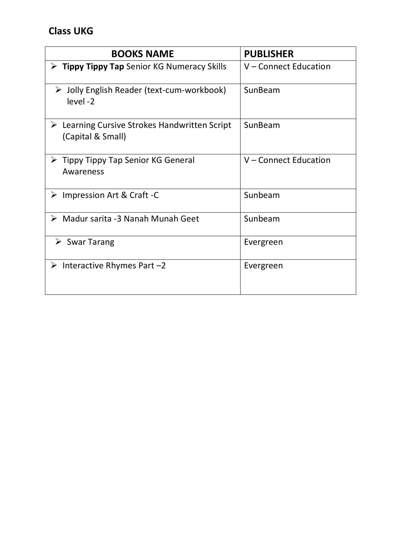| <b>BOOKS NAME</b>                                                                 | <b>PUBLISHER</b>      |
|-----------------------------------------------------------------------------------|-----------------------|
| $\triangleright$ Tippy Tippy Tap Senior KG Numeracy Skills                        | V - Connect Education |
| > Jolly English Reader (text-cum-workbook)<br>level-2                             | SunBeam               |
| $\triangleright$ Learning Cursive Strokes Handwritten Script<br>(Capital & Small) | SunBeam               |
| $\triangleright$ Tippy Tippy Tap Senior KG General<br>Awareness                   | V – Connect Education |
| $\triangleright$ Impression Art & Craft -C                                        | Sunbeam               |
| > Madur sarita -3 Nanah Munah Geet                                                | Sunbeam               |
| $\triangleright$ Swar Tarang                                                      | Evergreen             |
| $\triangleright$ Interactive Rhymes Part -2                                       | Evergreen             |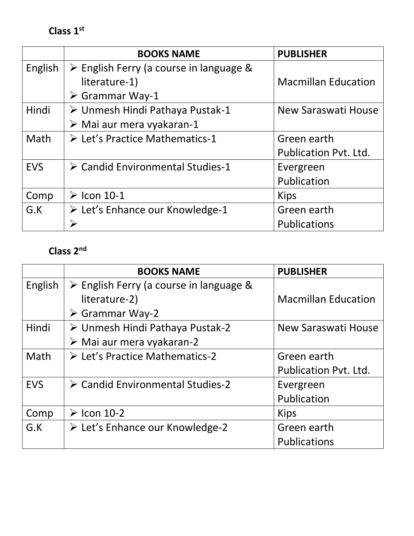**Class 1st**

|            | <b>BOOKS NAME</b>                                      | <b>PUBLISHER</b>             |
|------------|--------------------------------------------------------|------------------------------|
| English    | $\triangleright$ English Ferry (a course in language & |                              |
|            | literature-1)                                          | <b>Macmillan Education</b>   |
|            | $\triangleright$ Grammar Way-1                         |                              |
| Hindi      | ≻ Unmesh Hindi Pathaya Pustak-1                        | New Saraswati House          |
|            | $\triangleright$ Mai aur mera vyakaran-1               |                              |
| Math       | $\triangleright$ Let's Practice Mathematics-1          | Green earth                  |
|            |                                                        | <b>Publication Pvt. Ltd.</b> |
| <b>EVS</b> | ▶ Candid Environmental Studies-1                       | Evergreen                    |
|            |                                                        | Publication                  |
| Comp       | $\triangleright$ Icon 10-1                             | <b>Kips</b>                  |
| G.K        | $\triangleright$ Let's Enhance our Knowledge-1         | Green earth                  |
|            |                                                        | <b>Publications</b>          |

### **Class 2nd**

|            | <b>BOOKS NAME</b>                                      | <b>PUBLISHER</b>             |
|------------|--------------------------------------------------------|------------------------------|
| English    | $\triangleright$ English Ferry (a course in language & |                              |
|            | literature-2)                                          | <b>Macmillan Education</b>   |
|            | $\triangleright$ Grammar Way-2                         |                              |
| Hindi      | ≻ Unmesh Hindi Pathaya Pustak-2                        | New Saraswati House          |
|            | $\triangleright$ Mai aur mera vyakaran-2               |                              |
| Math       | $\triangleright$ Let's Practice Mathematics-2          | Green earth                  |
|            |                                                        | <b>Publication Pvt. Ltd.</b> |
| <b>EVS</b> | > Candid Environmental Studies-2                       | Evergreen                    |
|            |                                                        | Publication                  |
| Comp       | $\triangleright$ Icon 10-2                             | <b>Kips</b>                  |
| G.K        | ≻ Let's Enhance our Knowledge-2                        | Green earth                  |
|            |                                                        | Publications                 |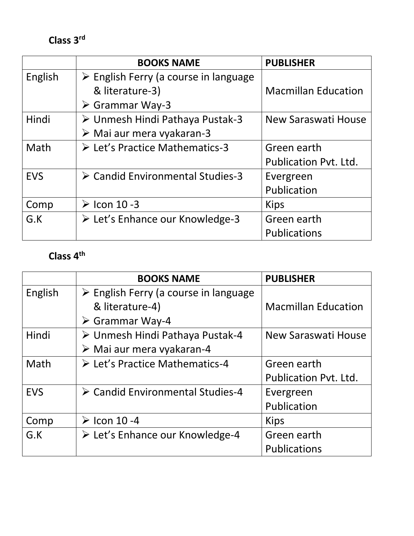**Class 3rd** 

|            | <b>BOOKS NAME</b>                                    | <b>PUBLISHER</b>             |
|------------|------------------------------------------------------|------------------------------|
| English    | $\triangleright$ English Ferry (a course in language |                              |
|            | & literature-3)                                      | <b>Macmillan Education</b>   |
|            | $\triangleright$ Grammar Way-3                       |                              |
| Hindi      | ≻ Unmesh Hindi Pathaya Pustak-3                      | New Saraswati House          |
|            | $\triangleright$ Mai aur mera vyakaran-3             |                              |
| Math       | $\triangleright$ Let's Practice Mathematics-3        | Green earth                  |
|            |                                                      | <b>Publication Pvt. Ltd.</b> |
| <b>EVS</b> | ▶ Candid Environmental Studies-3                     | Evergreen                    |
|            |                                                      | Publication                  |
| Comp       | $\triangleright$ Icon 10 -3                          | <b>Kips</b>                  |
| G.K        | ≻ Let's Enhance our Knowledge-3                      | Green earth                  |
|            |                                                      | <b>Publications</b>          |

### **Class 4th**

|            | <b>BOOKS NAME</b>                                    | <b>PUBLISHER</b>             |
|------------|------------------------------------------------------|------------------------------|
| English    | $\triangleright$ English Ferry (a course in language |                              |
|            | & literature-4)                                      | <b>Macmillan Education</b>   |
|            | $\triangleright$ Grammar Way-4                       |                              |
| Hindi      | ≻ Unmesh Hindi Pathaya Pustak-4                      | New Saraswati House          |
|            | $\triangleright$ Mai aur mera vyakaran-4             |                              |
| Math       | $\triangleright$ Let's Practice Mathematics-4        | Green earth                  |
|            |                                                      | <b>Publication Pvt. Ltd.</b> |
| <b>EVS</b> | ▶ Candid Environmental Studies-4                     | Evergreen                    |
|            |                                                      | Publication                  |
| Comp       | $\triangleright$ Icon 10 -4                          | <b>Kips</b>                  |
| G.K        | > Let's Enhance our Knowledge-4                      | Green earth                  |
|            |                                                      | <b>Publications</b>          |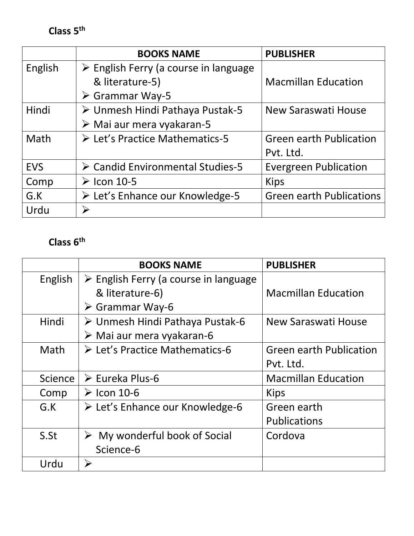**Class 5th** 

|            | <b>BOOKS NAME</b>                                    | <b>PUBLISHER</b>                |
|------------|------------------------------------------------------|---------------------------------|
| English    | $\triangleright$ English Ferry (a course in language |                                 |
|            | & literature-5)                                      | <b>Macmillan Education</b>      |
|            | $\triangleright$ Grammar Way-5                       |                                 |
| Hindi      | ▶ Unmesh Hindi Pathaya Pustak-5                      | New Saraswati House             |
|            | $\triangleright$ Mai aur mera vyakaran-5             |                                 |
| Math       | ▶ Let's Practice Mathematics-5                       | <b>Green earth Publication</b>  |
|            |                                                      | Pvt. Ltd.                       |
| <b>EVS</b> | ▶ Candid Environmental Studies-5                     | <b>Evergreen Publication</b>    |
| Comp       | $\triangleright$ Icon 10-5                           | <b>Kips</b>                     |
| G.K        | ≻ Let's Enhance our Knowledge-5                      | <b>Green earth Publications</b> |
| Urdu       | $\blacktriangleright$                                |                                 |

### **Class 6th**

|         | <b>BOOKS NAME</b>                                                       | <b>PUBLISHER</b>               |
|---------|-------------------------------------------------------------------------|--------------------------------|
| English | $\triangleright$ English Ferry (a course in language<br>& literature-6) | <b>Macmillan Education</b>     |
|         | $\triangleright$ Grammar Way-6                                          |                                |
| Hindi   | ≻ Unmesh Hindi Pathaya Pustak-6                                         | New Saraswati House            |
|         | $\triangleright$ Mai aur mera vyakaran-6                                |                                |
| Math    | $\triangleright$ Let's Practice Mathematics-6                           | <b>Green earth Publication</b> |
|         |                                                                         | Pvt. Ltd.                      |
| Science | $\triangleright$ Eureka Plus-6                                          | <b>Macmillan Education</b>     |
| Comp    | $\triangleright$ Icon 10-6                                              | <b>Kips</b>                    |
| G.K     | $\triangleright$ Let's Enhance our Knowledge-6                          | Green earth                    |
|         |                                                                         | <b>Publications</b>            |
| S.St    | $\triangleright$ My wonderful book of Social                            | Cordova                        |
|         | Science-6                                                               |                                |
| Urdu    | ➤                                                                       |                                |